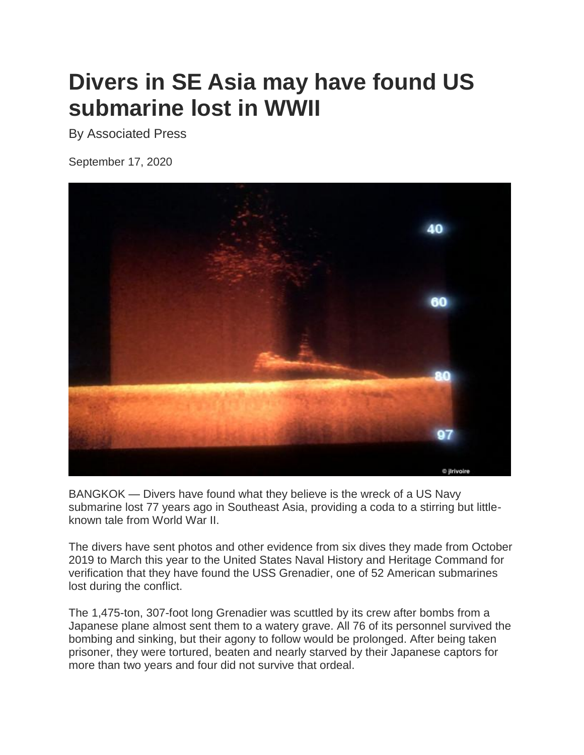## **Divers in SE Asia may have found US submarine lost in WWII**

By Associated Press

September 17, 2020



BANGKOK — Divers have found what they believe is the wreck of a US Navy submarine lost 77 years ago in Southeast Asia, providing a coda to a stirring but littleknown tale from World War II.

The divers have sent photos and other evidence from six dives they made from October 2019 to March this year to the United States Naval History and Heritage Command for verification that they have found the USS Grenadier, one of 52 American submarines lost during the conflict.

The 1,475-ton, 307-foot long Grenadier was scuttled by its crew after bombs from a Japanese plane almost sent them to a watery grave. All 76 of its personnel survived the bombing and sinking, but their agony to follow would be prolonged. After being taken prisoner, they were tortured, beaten and nearly starved by their Japanese captors for more than two years and four did not survive that ordeal.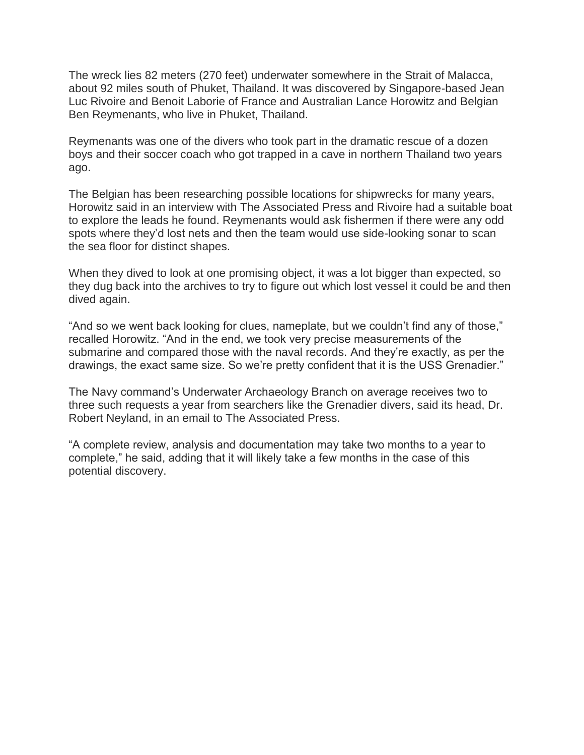The wreck lies 82 meters (270 feet) underwater somewhere in the Strait of Malacca, about 92 miles south of Phuket, Thailand. It was discovered by Singapore-based Jean Luc Rivoire and Benoit Laborie of France and Australian Lance Horowitz and Belgian Ben Reymenants, who live in Phuket, Thailand.

Reymenants was one of the divers who took part in the dramatic rescue of a dozen boys and their soccer coach who got trapped in a cave in northern Thailand two years ago.

The Belgian has been researching possible locations for shipwrecks for many years, Horowitz said in an interview with The Associated Press and Rivoire had a suitable boat to explore the leads he found. Reymenants would ask fishermen if there were any odd spots where they'd lost nets and then the team would use side-looking sonar to scan the sea floor for distinct shapes.

When they dived to look at one promising object, it was a lot bigger than expected, so they dug back into the archives to try to figure out which lost vessel it could be and then dived again.

"And so we went back looking for clues, nameplate, but we couldn't find any of those," recalled Horowitz. "And in the end, we took very precise measurements of the submarine and compared those with the naval records. And they're exactly, as per the drawings, the exact same size. So we're pretty confident that it is the USS Grenadier."

The Navy command's Underwater Archaeology Branch on average receives two to three such requests a year from searchers like the Grenadier divers, said its head, Dr. Robert Neyland, in an email to The Associated Press.

"A complete review, analysis and documentation may take two months to a year to complete," he said, adding that it will likely take a few months in the case of this potential discovery.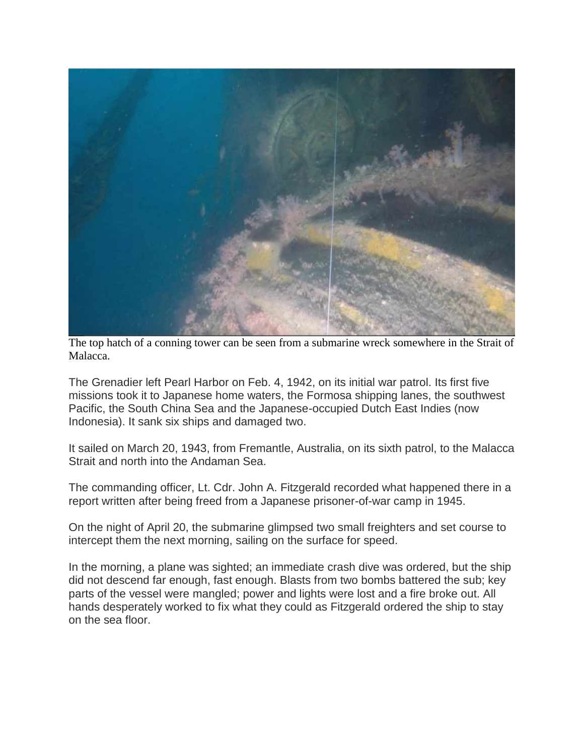

The top hatch of a conning tower can be seen from a submarine wreck somewhere in the Strait of Malacca.

The Grenadier left Pearl Harbor on Feb. 4, 1942, on its initial war patrol. Its first five missions took it to Japanese home waters, the Formosa shipping lanes, the southwest Pacific, the South China Sea and the Japanese-occupied Dutch East Indies (now Indonesia). It sank six ships and damaged two.

It sailed on March 20, 1943, from Fremantle, Australia, on its sixth patrol, to the Malacca Strait and north into the Andaman Sea.

The commanding officer, Lt. Cdr. John A. Fitzgerald recorded what happened there in a report written after being freed from a Japanese prisoner-of-war camp in 1945.

On the night of April 20, the submarine glimpsed two small freighters and set course to intercept them the next morning, sailing on the surface for speed.

In the morning, a plane was sighted; an immediate crash dive was ordered, but the ship did not descend far enough, fast enough. Blasts from two bombs battered the sub; key parts of the vessel were mangled; power and lights were lost and a fire broke out. All hands desperately worked to fix what they could as Fitzgerald ordered the ship to stay on the sea floor.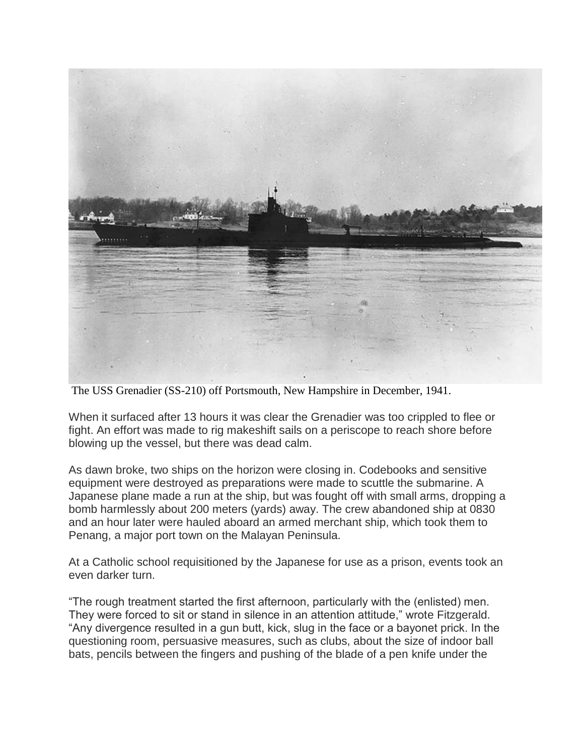

The USS Grenadier (SS-210) off Portsmouth, New Hampshire in December, 1941.

When it surfaced after 13 hours it was clear the Grenadier was too crippled to flee or fight. An effort was made to rig makeshift sails on a periscope to reach shore before blowing up the vessel, but there was dead calm.

As dawn broke, two ships on the horizon were closing in. Codebooks and sensitive equipment were destroyed as preparations were made to scuttle the submarine. A Japanese plane made a run at the ship, but was fought off with small arms, dropping a bomb harmlessly about 200 meters (yards) away. The crew abandoned ship at 0830 and an hour later were hauled aboard an armed merchant ship, which took them to Penang, a major port town on the Malayan Peninsula.

At a Catholic school requisitioned by the Japanese for use as a prison, events took an even darker turn.

"The rough treatment started the first afternoon, particularly with the (enlisted) men. They were forced to sit or stand in silence in an attention attitude," wrote Fitzgerald. "Any divergence resulted in a gun butt, kick, slug in the face or a bayonet prick. In the questioning room, persuasive measures, such as clubs, about the size of indoor ball bats, pencils between the fingers and pushing of the blade of a pen knife under the